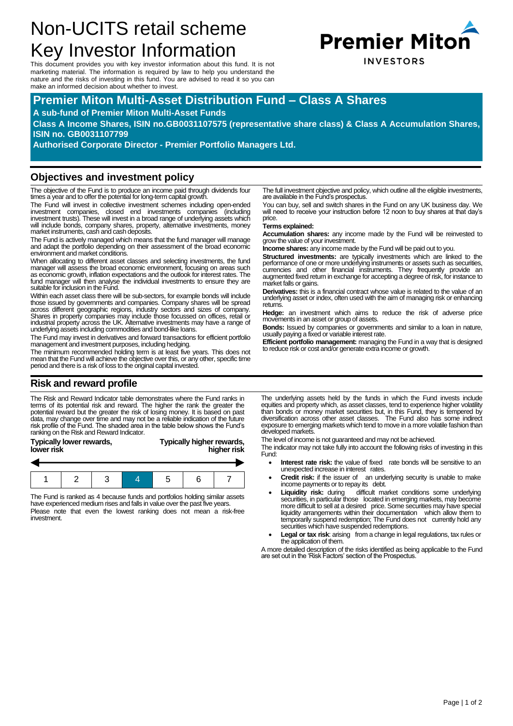# Non-UCITS retail scheme Key Investor Information

This document provides you with key investor information about this fund. It is not marketing material. The information is required by law to help you understand the nature and the risks of investing in this fund. You are advised to read it so you can make an informed decision about whether to invest.

## **Premier Miton Multi-Asset Distribution Fund – Class A Shares**

#### **A sub-fund of Premier Miton Multi-Asset Funds**

**Class A Income Shares, ISIN no.GB0031107575 (representative share class) & Class A Accumulation Shares, ISIN no. GB0031107799**

**Authorised Corporate Director - Premier Portfolio Managers Ltd.**

#### **Objectives and investment policy**

The objective of the Fund is to produce an income paid through dividends four times a year and to offer the potential for long-term capital growth.

The Fund will invest in collective investment schemes including open-ended investment companies, closed end investments companies (including investment trusts). These will invest in a broad range of underlying assets which will include bonds, company shares, property, alternative investments, money market instruments, cash and cash deposits.

The Fund is actively managed which means that the fund manager will manage and adapt the portfolio depending on their assessment of the broad economic environment and market conditions.

When allocating to different asset classes and selecting investments, the fund manager will assess the broad economic environment, focusing on areas such as economic growth, inflation expectations and the outlook for interest rates. The fund manager will then analyse the individual investments to ensure they are suitable for inclusion in the Fund.

Within each asset class there will be sub-sectors, for example bonds will include those issued by governments and companies. Company shares will be spread across different geographic regions, industry sectors and sizes of company. Shares in property companies may include those focussed on offices, retail or industrial property across the UK. Alternative investments may have a range of underlying assets including commodities and bond-like loans.

The Fund may invest in derivatives and forward transactions for efficient portfolio management and investment purposes, including hedging.

The minimum recommended holding term is at least five years. This does not mean that the Fund will achieve the objective over this, or any other, specific time period and there is a risk of loss to the original capital invested.

#### **Risk and reward profile**

The Risk and Reward Indicator table demonstrates where the Fund ranks in terms of its potential risk and reward. The higher the rank the greater the<br>potential reward but the greater the risk of losing money. It is based on past<br>data, may change over time and may not be a reliable indication of risk profile of the Fund. The shaded area in the table below shows the Fund's ranking on the Risk and Reward Indicator.

| lower risk | Typically lower rewards, |  | <b>Typically higher rewards,</b><br>higher risk |  |  |  |
|------------|--------------------------|--|-------------------------------------------------|--|--|--|
|            |                          |  |                                                 |  |  |  |
|            |                          |  |                                                 |  |  |  |

The Fund is ranked as 4 because funds and portfolios holding similar assets have experienced medium rises and falls in value over the past five years. Please note that even the lowest ranking does not mean a risk-free investment.

The full investment objective and policy, which outline all the eligible investments, are available in the Fund's prospectus.

You can buy, sell and switch shares in the Fund on any UK business day. We will need to receive your instruction before 12 noon to buy shares at that day's price.

#### **Terms explained:**

**Accumulation shares:** any income made by the Fund will be reinvested to grow the value of your investment.

**Income shares:** any income made by the Fund will be paid out to you.

**Structured investments:** are typically investments which are linked to the performance of one or more underlying instruments or assets such as securities, currencies and other financial instruments. They frequently provide an augmented fixed return in exchange for accepting a degree of risk, for instance to market falls or gains.

**Derivatives:** this is a financial contract whose value is related to the value of an underlying asset or index, often used with the aim of managing risk or enhancing returns.

**Hedge:** an investment which aims to reduce the risk of adverse price movements in an asset or group of assets.

**Bonds:** Issued by companies or governments and similar to a loan in nature, usually paying a fixed or variable interest rate.

**Efficient portfolio management:** managing the Fund in a way that is designed to reduce risk or cost and/or generate extra income or growth.

The underlying assets held by the funds in which the Fund invests include equities and property which, as asset classes, tend to experience higher volatility than bonds or money market securities but, in this Fund, they is tempered by diversification across other asset classes. The Fund also has some indirect exposure to emerging markets which tend to move in a more volatile fashion than developed markets.

The level of income is not guaranteed and may not be achieved.

The indicator may not take fully into account the following risks of investing in this Fund:

- **Interest rate risk:** the value of fixed rate bonds will be sensitive to an unexpected increase in interest rates
- **Credit risk:** if the issuer of an underlying security is unable to make income payments or to repay its debt.
- Liquidity risk: during difficult market conditions some underlying securities, in particular those located in emerging markets, may become more difficult to sell at a desired price. Some securities may have special liqui temporarily suspend redemption; The Fund does not currently hold any securities which have suspended redemptions.
- Legal or tax risk: arising from a change in legal regulations, tax rules or the application of them.

A more detailed description of the risks identified as being applicable to the Fund are set out in the 'Risk Factors' section of the Prospectus.